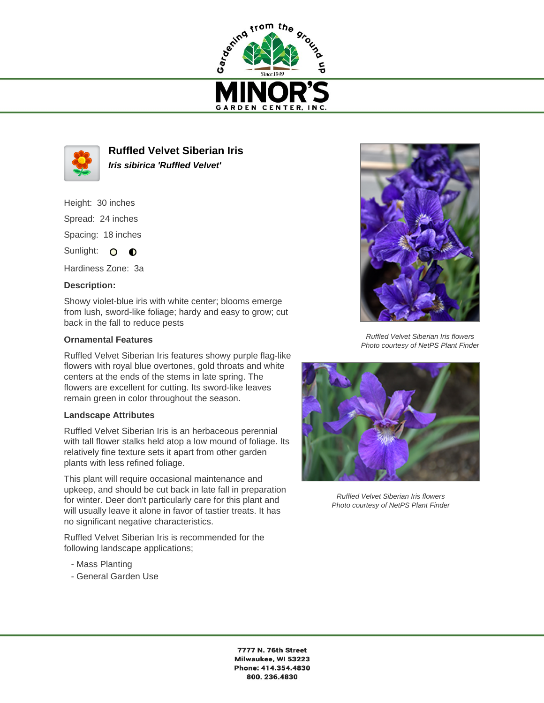



**Ruffled Velvet Siberian Iris Iris sibirica 'Ruffled Velvet'**

Height: 30 inches Spread: 24 inches Spacing: 18 inches

Sunlight: O O

Hardiness Zone: 3a

## **Description:**

Showy violet-blue iris with white center; blooms emerge from lush, sword-like foliage; hardy and easy to grow; cut back in the fall to reduce pests

## **Ornamental Features**

Ruffled Velvet Siberian Iris features showy purple flag-like flowers with royal blue overtones, gold throats and white centers at the ends of the stems in late spring. The flowers are excellent for cutting. Its sword-like leaves remain green in color throughout the season.

## **Landscape Attributes**

Ruffled Velvet Siberian Iris is an herbaceous perennial with tall flower stalks held atop a low mound of foliage. Its relatively fine texture sets it apart from other garden plants with less refined foliage.

This plant will require occasional maintenance and upkeep, and should be cut back in late fall in preparation for winter. Deer don't particularly care for this plant and will usually leave it alone in favor of tastier treats. It has no significant negative characteristics.

Ruffled Velvet Siberian Iris is recommended for the following landscape applications;

- Mass Planting
- General Garden Use



Ruffled Velvet Siberian Iris flowers Photo courtesy of NetPS Plant Finder



Ruffled Velvet Siberian Iris flowers Photo courtesy of NetPS Plant Finder